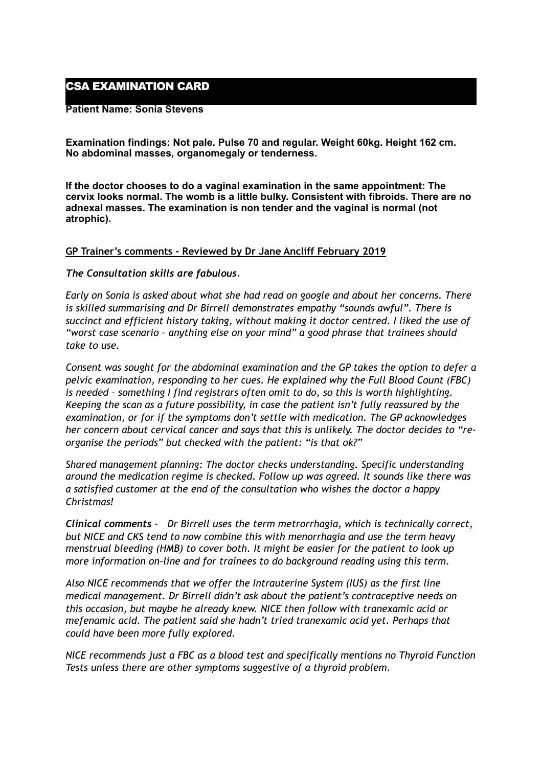# CSA EXAMINATION CARD

#### **Patient Name: Sonia Stevens**

**Examination findings: Not pale. Pulse 70 and regular. Weight 60kg. Height 162 cm. No abdominal masses, organomegaly or tenderness.** 

**If the doctor chooses to do a vaginal examination in the same appointment: The cervix looks normal. The womb is a little bulky. Consistent with fibroids. There are no adnexal masses. The examination is non tender and the vaginal is normal (not atrophic).** 

### **GP Trainer's comments - Reviewed by Dr Jane Ancliff February 2019**

### *The Consultation skills are fabulous.*

*Early on Sonia is asked about what she had read on google and about her concerns. There is skilled summarising and Dr Birrell demonstrates empathy "sounds awful". There is succinct and efficient history taking, without making it doctor centred. I liked the use of "worst case scenario – anything else on your mind" a good phrase that trainees should take to use.* 

*Consent was sought for the abdominal examination and the GP takes the option to defer a pelvic examination, responding to her cues. He explained why the Full Blood Count (FBC) is needed – something I find registrars often omit to do, so this is worth highlighting. Keeping the scan as a future possibility, in case the patient isn't fully reassured by the examination, or for if the symptoms don't settle with medication. The GP acknowledges her concern about cervical cancer and says that this is unlikely. The doctor decides to "reorganise the periods" but checked with the patient: "is that ok?"* 

*Shared management planning: The doctor checks understanding. Specific understanding around the medication regime is checked. Follow up was agreed. It sounds like there was a satisfied customer at the end of the consultation who wishes the doctor a happy Christmas!* 

*Clinical comments - Dr Birrell uses the term metrorrhagia, which is technically correct, but NICE and CKS tend to now combine this with menorrhagia and use the term heavy menstrual bleeding (HMB) to cover both. It might be easier for the patient to look up more information on-line and for trainees to do background reading using this term.* 

*Also NICE recommends that we offer the Intrauterine System (IUS) as the first line medical management. Dr Birrell didn't ask about the patient's contraceptive needs on this occasion, but maybe he already knew. NICE then follow with tranexamic acid or mefenamic acid. The patient said she hadn't tried tranexamic acid yet. Perhaps that could have been more fully explored.* 

*NICE recommends just a FBC as a blood test and specifically mentions no Thyroid Function Tests unless there are other symptoms suggestive of a thyroid problem.*